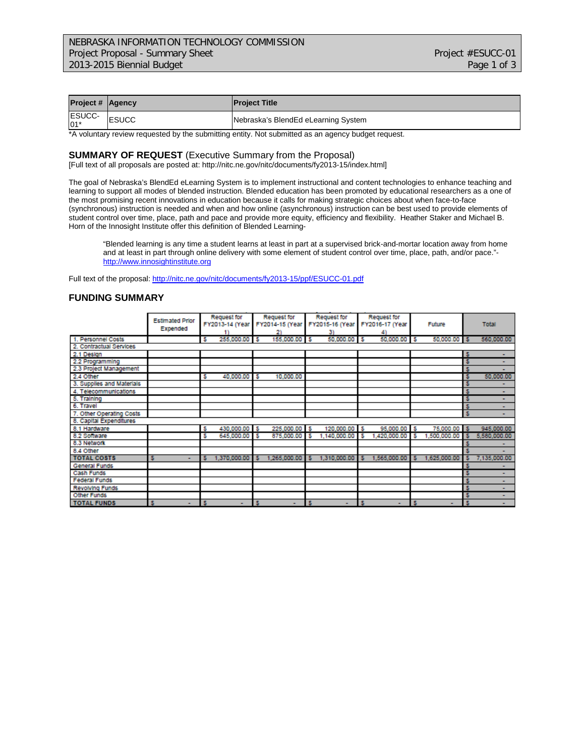| <b>Project # Agency</b> |              | <b>Project Title</b>                |
|-------------------------|--------------|-------------------------------------|
| <b>ESUCC-</b><br>$01*$  | <b>ESUCC</b> | Nebraska's BlendEd eLearning System |

\*A voluntary review requested by the submitting entity. Not submitted as an agency budget request.

#### **SUMMARY OF REQUEST** (Executive Summary from the Proposal)

[Full text of all proposals are posted at: http://nitc.ne.gov/nitc/documents/fy2013-15/index.html]

The goal of Nebraska's BlendEd eLearning System is to implement instructional and content technologies to enhance teaching and learning to support all modes of blended instruction. Blended education has been promoted by educational researchers as a one of the most promising recent innovations in education because it calls for making strategic choices about when face-to-face (synchronous) instruction is needed and when and how online (asynchronous) instruction can be best used to provide elements of student control over time, place, path and pace and provide more equity, efficiency and flexibility. Heather Staker and Michael B. Horn of the Innosight Institute offer this definition of Blended Learning-

"Blended learning is any time a student learns at least in part at a supervised brick-and-mortar location away from home and at least in part through online delivery with some element of student control over time, place, path, and/or pace." [http://www.innosightinstitute.org](http://www.innosightinstitute.org/)

Full text of the proposal[: http://nitc.ne.gov/nitc/documents/fy2013-15/ppf/ESUCC-01.pdf](http://nitc.ne.gov/nitc/documents/fy2013-15/ppf/ESUCC-01.pdf)

#### **FUNDING SUMMARY**

|                           | <b>Estimated Prior</b><br>Expended |   | <b>Request for</b><br>FY2013-14 (Year |    | Request for<br>FY2014-15 (Year<br>21 |   | <b>Request for</b><br>FY2015-16 (Year<br>31 |   | Request for<br>FY2016-17 (Year |    | Future       |    | <b>Total</b> |
|---------------------------|------------------------------------|---|---------------------------------------|----|--------------------------------------|---|---------------------------------------------|---|--------------------------------|----|--------------|----|--------------|
| 1. Personnel Costs        |                                    | s | 255,000.00                            | -S | 155,000.00                           | s | 50,000.00                                   | s | 50,000.00                      | -S | 50,000.00 \$ |    | 560,000.00   |
| 2. Contractual Services   |                                    |   |                                       |    |                                      |   |                                             |   |                                |    |              |    |              |
| 2.1 Design                |                                    |   |                                       |    |                                      |   |                                             |   |                                |    |              | -5 |              |
| 2.2 Programming           |                                    |   |                                       |    |                                      |   |                                             |   |                                |    |              | 5  |              |
| 2.3 Project Management    |                                    |   |                                       |    |                                      |   |                                             |   |                                |    |              | 5  |              |
| 2.4 Other                 |                                    | s | 40,000.00                             | s  | 10,000.00                            |   |                                             |   |                                |    |              | 5  | 50,000.00    |
| 3. Supplies and Materials |                                    |   |                                       |    |                                      |   |                                             |   |                                |    |              |    |              |
| 4. Telecommunications     |                                    |   |                                       |    |                                      |   |                                             |   |                                |    |              | 5  | ۰            |
| 5. Training               |                                    |   |                                       |    |                                      |   |                                             |   |                                |    |              | s  |              |
| 6. Travel                 |                                    |   |                                       |    |                                      |   |                                             |   |                                |    |              | 5  |              |
| 7. Other Operating Costs  |                                    |   |                                       |    |                                      |   |                                             |   |                                |    |              | s  |              |
| 8. Capital Expenditures   |                                    |   |                                       |    |                                      |   |                                             |   |                                |    |              |    |              |
| 8.1 Hardware              |                                    | s | 430,000.00 \$                         |    | 225,000.00 \$                        |   | 120,000.00 S                                |   | 95,000.00 S                    |    | 75,000.00 S  |    | 945,000.00   |
| 8.2 Software              |                                    | s | 645,000.00                            | -5 | 875,000.00                           | s | 1,140,000.00                                | s | 1,420,000.00                   | s  | 1,500,000.00 | s  | 5,580,000.00 |
| 8.3 Network               |                                    |   |                                       |    |                                      |   |                                             |   |                                |    |              |    |              |
| 8.4 Other                 |                                    |   |                                       |    |                                      |   |                                             |   |                                |    |              |    |              |
| <b>TOTAL COSTS</b>        | ۰                                  | Б | 1,370,000.00                          |    | 1,265,000.00                         | 5 | 1,310,000.00                                |   | 1,565,000.00                   |    | 1,625,000.00 |    | 7,135,000.00 |
| General Funds             |                                    |   |                                       |    |                                      |   |                                             |   |                                |    |              |    |              |
| Cash Funds                |                                    |   |                                       |    |                                      |   |                                             |   |                                |    |              |    |              |
| <b>Federal Funds</b>      |                                    |   |                                       |    |                                      |   |                                             |   |                                |    |              |    | ۰            |
| <b>Revolving Funds</b>    |                                    |   |                                       |    |                                      |   |                                             |   |                                |    |              | s  |              |
| Other Funds               |                                    |   |                                       |    |                                      |   |                                             |   |                                |    |              | 5  |              |
| <b>TOTAL FUNDS</b>        | ٠                                  | s | ٠                                     |    |                                      | s | ٠                                           |   | ۰                              | s  | ۰            |    | ۰.           |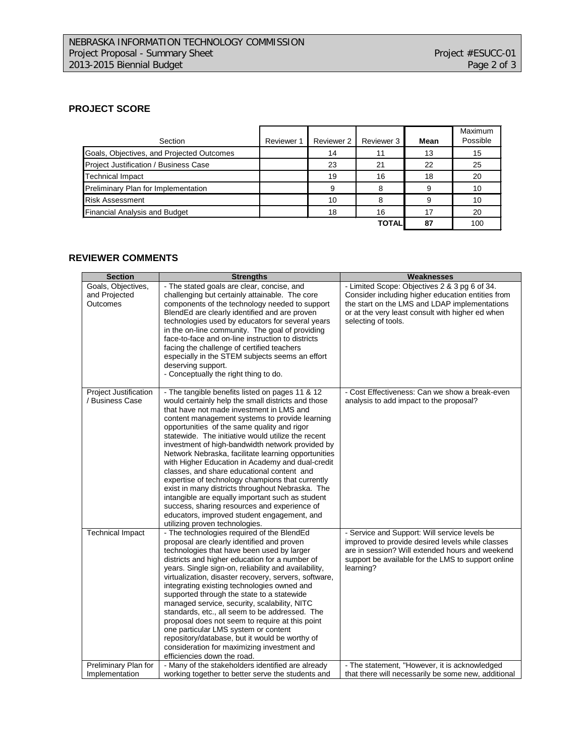### **PROJECT SCORE**

| Section                                   | Reviewer 1 | Reviewer 2 | Reviewer 3   | Mean | Maximum<br>Possible |
|-------------------------------------------|------------|------------|--------------|------|---------------------|
| Goals, Objectives, and Projected Outcomes |            | 14         | 11           | 13   | 15                  |
| Project Justification / Business Case     |            | 23         | 21           | 22   | 25                  |
| <b>Technical Impact</b>                   |            | 19         | 16           | 18   | 20                  |
| Preliminary Plan for Implementation       |            | 9          | 8            | 9    | 10                  |
| <b>Risk Assessment</b>                    |            | 10         |              | 9    | 10                  |
| Financial Analysis and Budget             |            | 18         | 16           | 17   | 20                  |
|                                           |            |            | <b>TOTAL</b> | 87   | 100                 |

## **REVIEWER COMMENTS**

| <b>Section</b>                                  | <b>Strengths</b>                                                                                                                                                                                                                                                                                                                                                                                                                                                                                                                                                                                                                                                                                                                                                                                                   | Weaknesses                                                                                                                                                                                                                     |
|-------------------------------------------------|--------------------------------------------------------------------------------------------------------------------------------------------------------------------------------------------------------------------------------------------------------------------------------------------------------------------------------------------------------------------------------------------------------------------------------------------------------------------------------------------------------------------------------------------------------------------------------------------------------------------------------------------------------------------------------------------------------------------------------------------------------------------------------------------------------------------|--------------------------------------------------------------------------------------------------------------------------------------------------------------------------------------------------------------------------------|
| Goals, Objectives,<br>and Projected<br>Outcomes | - The stated goals are clear, concise, and<br>challenging but certainly attainable. The core<br>components of the technology needed to support<br>BlendEd are clearly identified and are proven<br>technologies used by educators for several years<br>in the on-line community. The goal of providing<br>face-to-face and on-line instruction to districts<br>facing the challenge of certified teachers<br>especially in the STEM subjects seems an effort<br>deserving support.<br>- Conceptually the right thing to do.                                                                                                                                                                                                                                                                                        | - Limited Scope: Objectives 2 & 3 pg 6 of 34.<br>Consider including higher education entities from<br>the start on the LMS and LDAP implementations<br>or at the very least consult with higher ed when<br>selecting of tools. |
| <b>Project Justification</b><br>/ Business Case | - The tangible benefits listed on pages 11 & 12<br>would certainly help the small districts and those<br>that have not made investment in LMS and<br>content management systems to provide learning<br>opportunities of the same quality and rigor<br>statewide. The initiative would utilize the recent<br>investment of high-bandwidth network provided by<br>Network Nebraska, facilitate learning opportunities<br>with Higher Education in Academy and dual-credit<br>classes, and share educational content and<br>expertise of technology champions that currently<br>exist in many districts throughout Nebraska. The<br>intangible are equally important such as student<br>success, sharing resources and experience of<br>educators, improved student engagement, and<br>utilizing proven technologies. | - Cost Effectiveness: Can we show a break-even<br>analysis to add impact to the proposal?                                                                                                                                      |
| <b>Technical Impact</b>                         | - The technologies required of the BlendEd<br>proposal are clearly identified and proven<br>technologies that have been used by larger<br>districts and higher education for a number of<br>years. Single sign-on, reliability and availability,<br>virtualization, disaster recovery, servers, software,<br>integrating existing technologies owned and<br>supported through the state to a statewide<br>managed service, security, scalability, NITC<br>standards, etc., all seem to be addressed. The<br>proposal does not seem to require at this point<br>one particular LMS system or content<br>repository/database, but it would be worthy of<br>consideration for maximizing investment and<br>efficiencies down the road.                                                                                | - Service and Support: Will service levels be<br>improved to provide desired levels while classes<br>are in session? Will extended hours and weekend<br>support be available for the LMS to support online<br>learning?        |
| Preliminary Plan for<br>Implementation          | - Many of the stakeholders identified are already<br>working together to better serve the students and                                                                                                                                                                                                                                                                                                                                                                                                                                                                                                                                                                                                                                                                                                             | - The statement, "However, it is acknowledged<br>that there will necessarily be some new, additional                                                                                                                           |